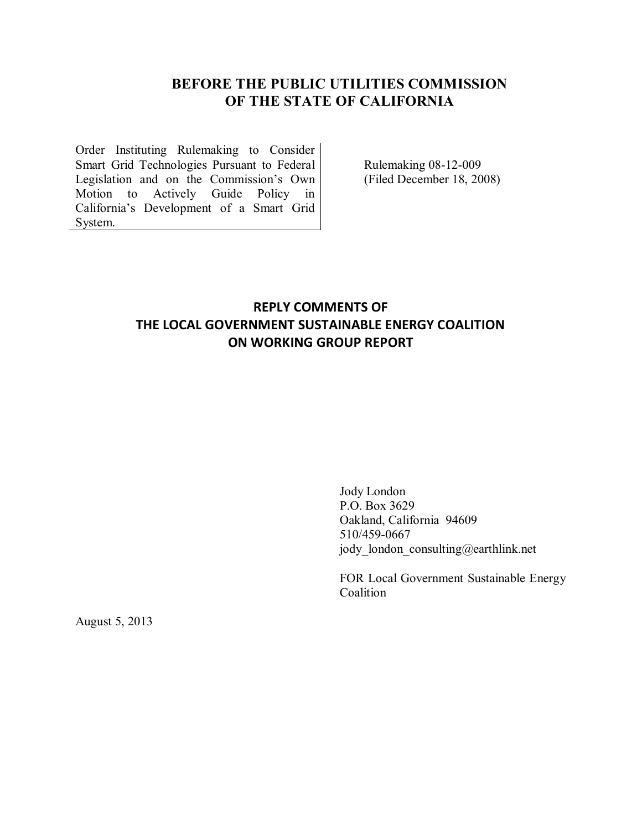## **BEFORE THE PUBLIC UTILITIES COMMISSION OF THE STATE OF CALIFORNIA**

Order Instituting Rulemaking to Consider Smart Grid Technologies Pursuant to Federal Legislation and on the Commission's Own Motion to Actively Guide Policy in California's Development of a Smart Grid System.

Rulemaking 08-12-009 (Filed December 18, 2008)

# **REPLY COMMENTS OF THE LOCAL GOVERNMENT SUSTAINABLE ENERGY COALITION ON WORKING GROUP REPORT**

Jody London P.O. Box 3629 Oakland, California 94609 510/459-0667 jody london consulting@earthlink.net

FOR Local Government Sustainable Energy Coalition

August 5, 2013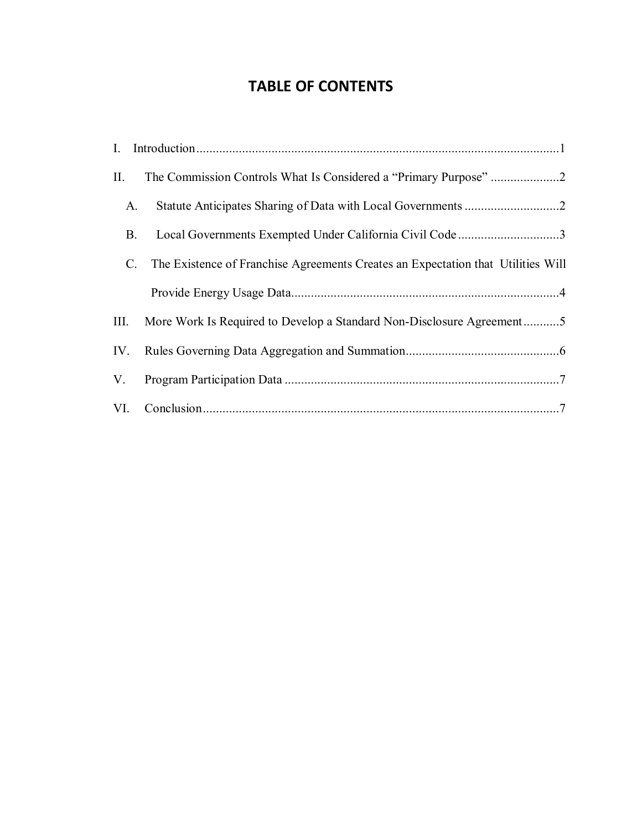# **TABLE OF CONTENTS**

| II.         |                                                                                  |
|-------------|----------------------------------------------------------------------------------|
| A.          |                                                                                  |
| <b>B.</b>   | Local Governments Exempted Under California Civil Code 3                         |
| $C_{\cdot}$ | The Existence of Franchise Agreements Creates an Expectation that Utilities Will |
|             |                                                                                  |
| III.        | More Work Is Required to Develop a Standard Non-Disclosure Agreement5            |
|             |                                                                                  |
| V.          |                                                                                  |
|             |                                                                                  |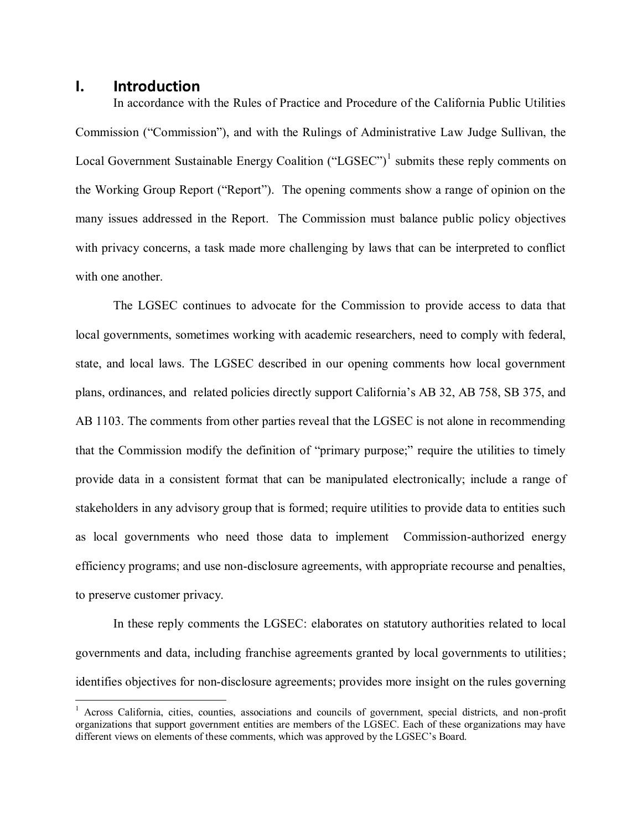#### <span id="page-2-0"></span>**I. Introduction**

 $\overline{a}$ 

In accordance with the Rules of Practice and Procedure of the California Public Utilities Commission ("Commission"), and with the Rulings of Administrative Law Judge Sullivan, the Local Government Sustainable Energy Coalition  $("LGSEC")<sup>1</sup>$  submits these reply comments on the Working Group Report ("Report"). The opening comments show a range of opinion on the many issues addressed in the Report. The Commission must balance public policy objectives with privacy concerns, a task made more challenging by laws that can be interpreted to conflict with one another.

The LGSEC continues to advocate for the Commission to provide access to data that local governments, sometimes working with academic researchers, need to comply with federal, state, and local laws. The LGSEC described in our opening comments how local government plans, ordinances, and related policies directly support California's AB 32, AB 758, SB 375, and AB 1103. The comments from other parties reveal that the LGSEC is not alone in recommending that the Commission modify the definition of "primary purpose;" require the utilities to timely provide data in a consistent format that can be manipulated electronically; include a range of stakeholders in any advisory group that is formed; require utilities to provide data to entities such as local governments who need those data to implement Commission-authorized energy efficiency programs; and use non-disclosure agreements, with appropriate recourse and penalties, to preserve customer privacy.

In these reply comments the LGSEC: elaborates on statutory authorities related to local governments and data, including franchise agreements granted by local governments to utilities; identifies objectives for non-disclosure agreements; provides more insight on the rules governing

<sup>&</sup>lt;sup>1</sup> Across California, cities, counties, associations and councils of government, special districts, and non-profit organizations that support government entities are members of the LGSEC. Each of these organizations may have different views on elements of these comments, which was approved by the LGSEC's Board.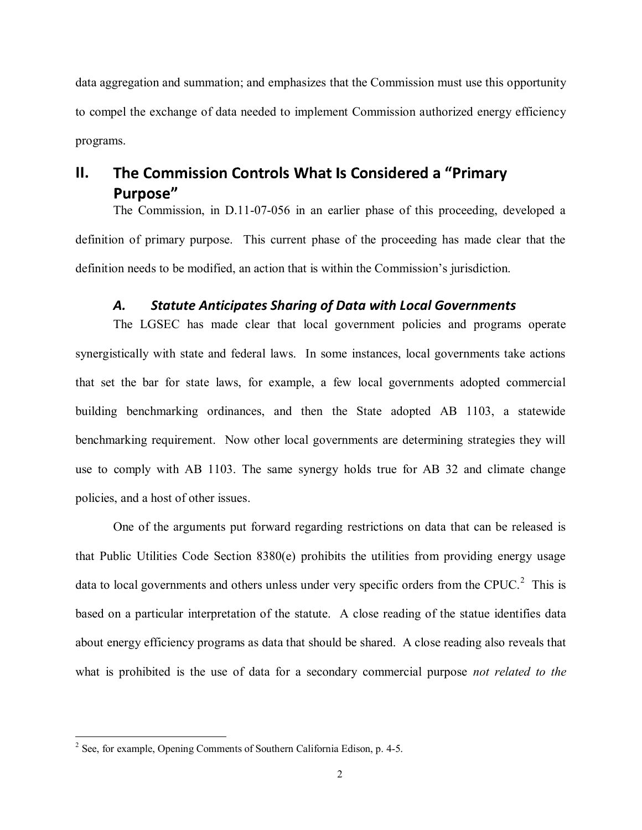data aggregation and summation; and emphasizes that the Commission must use this opportunity to compel the exchange of data needed to implement Commission authorized energy efficiency programs.

### <span id="page-3-0"></span>The Commission Controls What Is Considered a "Primary" **II.** Purpose"

The Commission, in D.11-07-056 in an earlier phase of this proceeding, developed a definition of primary purpose. This current phase of the proceeding has made clear that the definition needs to be modified, an action that is within the Commission's jurisdiction.

### *A. Statute Anticipates Sharing of Data with Local Governments*

<span id="page-3-1"></span>The LGSEC has made clear that local government policies and programs operate synergistically with state and federal laws. In some instances, local governments take actions that set the bar for state laws, for example, a few local governments adopted commercial building benchmarking ordinances, and then the State adopted AB 1103, a statewide benchmarking requirement. Now other local governments are determining strategies they will use to comply with AB 1103. The same synergy holds true for AB 32 and climate change policies, and a host of other issues.

One of the arguments put forward regarding restrictions on data that can be released is that Public Utilities Code Section 8380(e) prohibits the utilities from providing energy usage data to local governments and others unless under very specific orders from the CPUC. $^{2}$  This is based on a particular interpretation of the statute. A close reading of the statue identifies data about energy efficiency programs as data that should be shared. A close reading also reveals that what is prohibited is the use of data for a secondary commercial purpose *not related to the* 

 $\overline{a}$ 

 $2^2$  See, for example, Opening Comments of Southern California Edison, p. 4-5.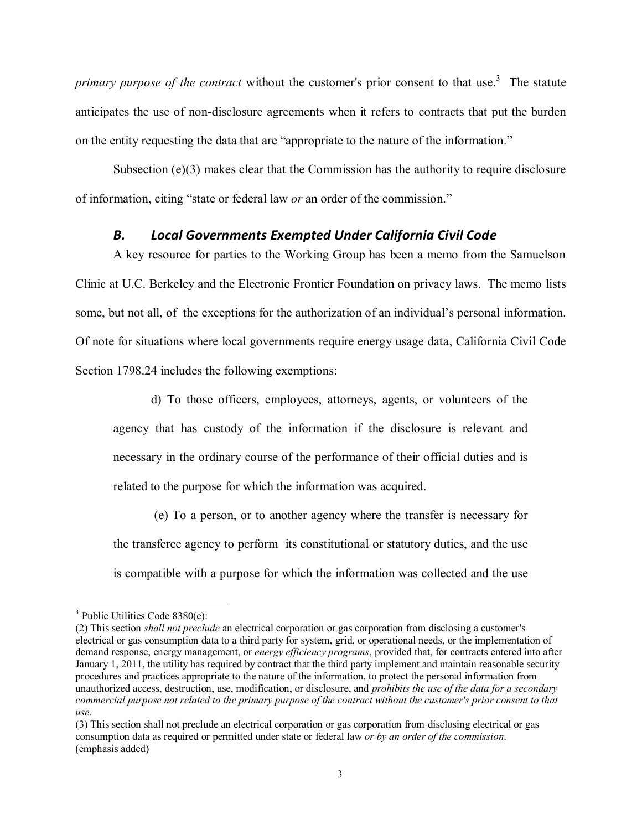primary purpose of the contract without the customer's prior consent to that use.<sup>3</sup> The statute anticipates the use of non-disclosure agreements when it refers to contracts that put the burden on the entity requesting the data that are "appropriate to the nature of the information."

Subsection  $(e)(3)$  makes clear that the Commission has the authority to require disclosure of information, citing "state or federal law *or* an order of the commission."

### *B. Local Governments Exempted Under California Civil Code*

<span id="page-4-0"></span>A key resource for parties to the Working Group has been a memo from the Samuelson Clinic at U.C. Berkeley and the Electronic Frontier Foundation on privacy laws. The memo lists some, but not all, of the exceptions for the authorization of an individual's personal information. Of note for situations where local governments require energy usage data, California Civil Code Section 1798.24 includes the following exemptions:

d) To those officers, employees, attorneys, agents, or volunteers of the agency that has custody of the information if the disclosure is relevant and necessary in the ordinary course of the performance of their official duties and is related to the purpose for which the information was acquired.

(e) To a person, or to another agency where the transfer is necessary for the transferee agency to perform its constitutional or statutory duties, and the use is compatible with a purpose for which the information was collected and the use

 $\overline{a}$ 

<sup>&</sup>lt;sup>3</sup> Public Utilities Code 8380(e):

<sup>(2)</sup> This section *shall not preclude* an electrical corporation or gas corporation from disclosing a customer's electrical or gas consumption data to a third party for system, grid, or operational needs, or the implementation of demand response, energy management, or *energy efficiency programs*, provided that, for contracts entered into after January 1, 2011, the utility has required by contract that the third party implement and maintain reasonable security procedures and practices appropriate to the nature of the information, to protect the personal information from unauthorized access, destruction, use, modification, or disclosure, and *prohibits the use of the data for a secondary commercial purpose not related to the primary purpose of the contract without the customer's prior consent to that use*.

<sup>(3)</sup> This section shall not preclude an electrical corporation or gas corporation from disclosing electrical or gas consumption data as required or permitted under state or federal law *or by an order of the commission*. (emphasis added)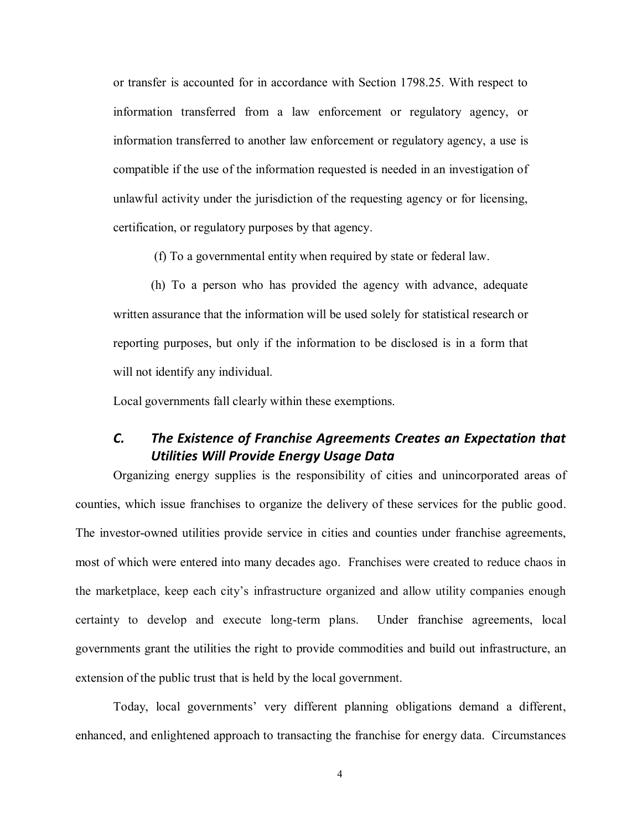or transfer is accounted for in accordance with Section 1798.25. With respect to information transferred from a law enforcement or regulatory agency, or information transferred to another law enforcement or regulatory agency, a use is compatible if the use of the information requested is needed in an investigation of unlawful activity under the jurisdiction of the requesting agency or for licensing, certification, or regulatory purposes by that agency.

(f) To a governmental entity when required by state or federal law.

(h) To a person who has provided the agency with advance, adequate written assurance that the information will be used solely for statistical research or reporting purposes, but only if the information to be disclosed is in a form that will not identify any individual.

Local governments fall clearly within these exemptions.

## <span id="page-5-0"></span>*C. The Existence of Franchise Agreements Creates an Expectation that Utilities Will Provide Energy Usage Data*

Organizing energy supplies is the responsibility of cities and unincorporated areas of counties, which issue franchises to organize the delivery of these services for the public good. The investor-owned utilities provide service in cities and counties under franchise agreements, most of which were entered into many decades ago. Franchises were created to reduce chaos in the marketplace, keep each city's infrastructure organized and allow utility companies enough certainty to develop and execute long-term plans. Under franchise agreements, local governments grant the utilities the right to provide commodities and build out infrastructure, an extension of the public trust that is held by the local government.

Today, local governments' very different planning obligations demand a different, enhanced, and enlightened approach to transacting the franchise for energy data. Circumstances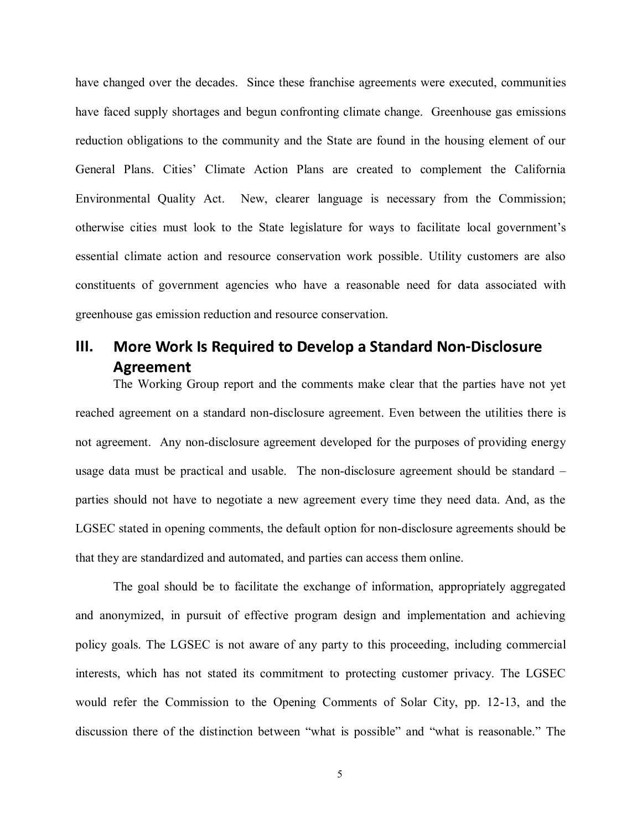have changed over the decades. Since these franchise agreements were executed, communities have faced supply shortages and begun confronting climate change. Greenhouse gas emissions reduction obligations to the community and the State are found in the housing element of our General Plans. Cities' Climate Action Plans are created to complement the California Environmental Quality Act. New, clearer language is necessary from the Commission; otherwise cities must look to the State legislature for ways to facilitate local government's essential climate action and resource conservation work possible. Utility customers are also constituents of government agencies who have a reasonable need for data associated with greenhouse gas emission reduction and resource conservation.

# <span id="page-6-0"></span>**III.** More Work Is Required to Develop a Standard Non-Disclosure Agreement

The Working Group report and the comments make clear that the parties have not yet reached agreement on a standard non-disclosure agreement. Even between the utilities there is not agreement. Any non-disclosure agreement developed for the purposes of providing energy usage data must be practical and usable. The non-disclosure agreement should be standard – parties should not have to negotiate a new agreement every time they need data. And, as the LGSEC stated in opening comments, the default option for non-disclosure agreements should be that they are standardized and automated, and parties can access them online.

The goal should be to facilitate the exchange of information, appropriately aggregated and anonymized, in pursuit of effective program design and implementation and achieving policy goals. The LGSEC is not aware of any party to this proceeding, including commercial interests, which has not stated its commitment to protecting customer privacy. The LGSEC would refer the Commission to the Opening Comments of Solar City, pp. 12-13, and the discussion there of the distinction between "what is possible" and "what is reasonable." The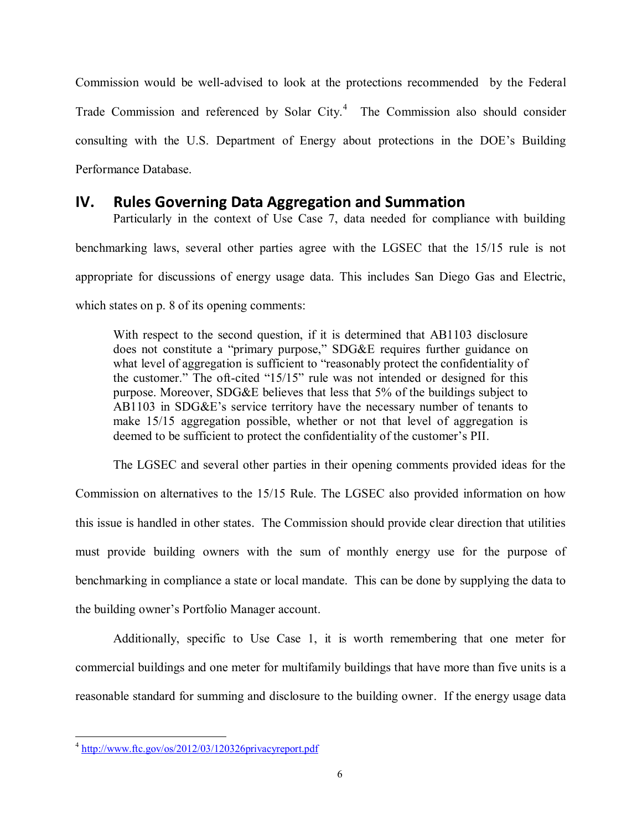Commission would be well-advised to look at the protections recommended by the Federal Trade Commission and referenced by Solar City.<sup>4</sup> The Commission also should consider consulting with the U.S. Department of Energy about protections in the DOE's Building Performance Database.

### <span id="page-7-0"></span>**Rules Governing Data Aggregation and Summation IV.**

Particularly in the context of Use Case 7, data needed for compliance with building benchmarking laws, several other parties agree with the LGSEC that the 15/15 rule is not appropriate for discussions of energy usage data. This includes San Diego Gas and Electric, which states on p. 8 of its opening comments:

With respect to the second question, if it is determined that AB1103 disclosure does not constitute a "primary purpose," SDG&E requires further guidance on what level of aggregation is sufficient to "reasonably protect the confidentiality of the customer." The oft-cited "15/15" rule was not intended or designed for this purpose. Moreover, SDG&E believes that less that 5% of the buildings subject to AB1103 in SDG&E's service territory have the necessary number of tenants to make 15/15 aggregation possible, whether or not that level of aggregation is deemed to be sufficient to protect the confidentiality of the customer's PII.

The LGSEC and several other parties in their opening comments provided ideas for the Commission on alternatives to the 15/15 Rule. The LGSEC also provided information on how this issue is handled in other states. The Commission should provide clear direction that utilities must provide building owners with the sum of monthly energy use for the purpose of benchmarking in compliance a state or local mandate. This can be done by supplying the data to the building owner's Portfolio Manager account.

Additionally, specific to Use Case 1, it is worth remembering that one meter for commercial buildings and one meter for multifamily buildings that have more than five units is a reasonable standard for summing and disclosure to the building owner. If the energy usage data

 $\overline{a}$ <sup>4</sup> <http://www.ftc.gov/os/2012/03/120326privacyreport.pdf>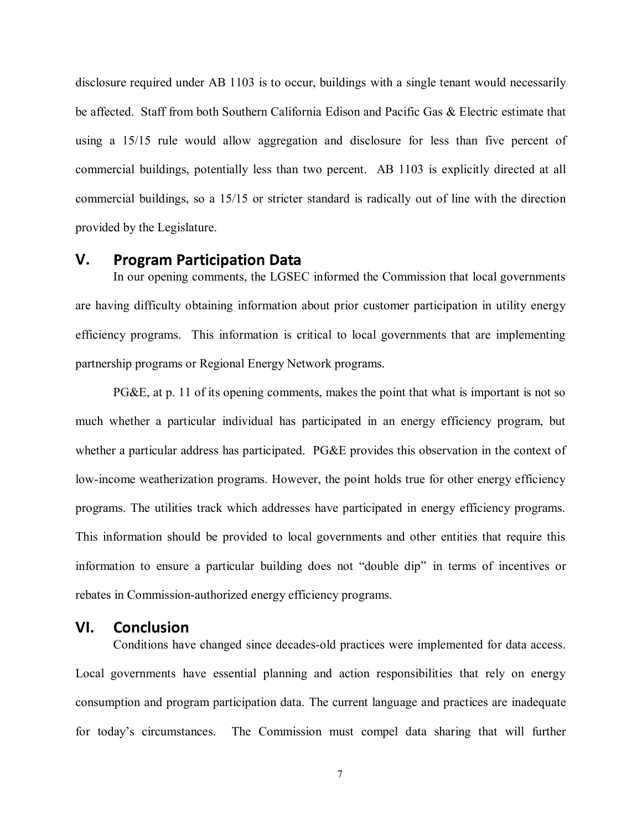disclosure required under AB 1103 is to occur, buildings with a single tenant would necessarily be affected. Staff from both Southern California Edison and Pacific Gas & Electric estimate that using a 15/15 rule would allow aggregation and disclosure for less than five percent of commercial buildings, potentially less than two percent. AB 1103 is explicitly directed at all commercial buildings, so a 15/15 or stricter standard is radically out of line with the direction provided by the Legislature.

#### <span id="page-8-0"></span>**V. Program Participation Data**

In our opening comments, the LGSEC informed the Commission that local governments are having difficulty obtaining information about prior customer participation in utility energy efficiency programs. This information is critical to local governments that are implementing partnership programs or Regional Energy Network programs.

PG&E, at p. 11 of its opening comments, makes the point that what is important is not so much whether a particular individual has participated in an energy efficiency program, but whether a particular address has participated. PG&E provides this observation in the context of low-income weatherization programs. However, the point holds true for other energy efficiency programs. The utilities track which addresses have participated in energy efficiency programs. This information should be provided to local governments and other entities that require this information to ensure a particular building does not "double dip" in terms of incentives or rebates in Commission-authorized energy efficiency programs.

#### <span id="page-8-1"></span>**Conclusion VI.**

Conditions have changed since decades-old practices were implemented for data access. Local governments have essential planning and action responsibilities that rely on energy consumption and program participation data. The current language and practices are inadequate for today's circumstances. The Commission must compel data sharing that will further